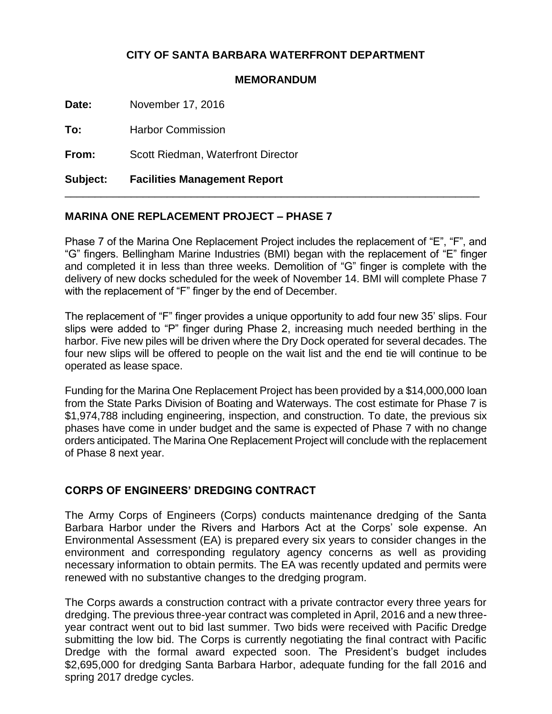## **CITY OF SANTA BARBARA WATERFRONT DEPARTMENT**

## **MEMORANDUM**

**Date:** November 17, 2016

**To:** Harbor Commission

**From:** Scott Riedman, Waterfront Director

**Subject: Facilities Management Report**

## **MARINA ONE REPLACEMENT PROJECT – PHASE 7**

Phase 7 of the Marina One Replacement Project includes the replacement of "E", "F", and "G" fingers. Bellingham Marine Industries (BMI) began with the replacement of "E" finger and completed it in less than three weeks. Demolition of "G" finger is complete with the delivery of new docks scheduled for the week of November 14. BMI will complete Phase 7 with the replacement of "F" finger by the end of December.

\_\_\_\_\_\_\_\_\_\_\_\_\_\_\_\_\_\_\_\_\_\_\_\_\_\_\_\_\_\_\_\_\_\_\_\_\_\_\_\_\_\_\_\_\_\_\_\_\_\_\_\_\_\_\_\_\_\_\_\_\_\_\_\_\_\_\_\_\_

The replacement of "F" finger provides a unique opportunity to add four new 35' slips. Four slips were added to "P" finger during Phase 2, increasing much needed berthing in the harbor. Five new piles will be driven where the Dry Dock operated for several decades. The four new slips will be offered to people on the wait list and the end tie will continue to be operated as lease space.

Funding for the Marina One Replacement Project has been provided by a \$14,000,000 loan from the State Parks Division of Boating and Waterways. The cost estimate for Phase 7 is \$1,974,788 including engineering, inspection, and construction. To date, the previous six phases have come in under budget and the same is expected of Phase 7 with no change orders anticipated. The Marina One Replacement Project will conclude with the replacement of Phase 8 next year.

## **CORPS OF ENGINEERS' DREDGING CONTRACT**

The Army Corps of Engineers (Corps) conducts maintenance dredging of the Santa Barbara Harbor under the Rivers and Harbors Act at the Corps' sole expense. An Environmental Assessment (EA) is prepared every six years to consider changes in the environment and corresponding regulatory agency concerns as well as providing necessary information to obtain permits. The EA was recently updated and permits were renewed with no substantive changes to the dredging program.

The Corps awards a construction contract with a private contractor every three years for dredging. The previous three-year contract was completed in April, 2016 and a new threeyear contract went out to bid last summer. Two bids were received with Pacific Dredge submitting the low bid. The Corps is currently negotiating the final contract with Pacific Dredge with the formal award expected soon. The President's budget includes \$2,695,000 for dredging Santa Barbara Harbor, adequate funding for the fall 2016 and spring 2017 dredge cycles.